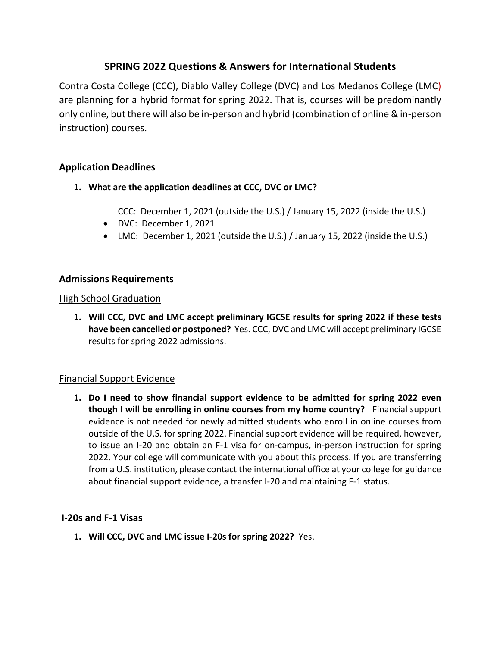# **SPRING 2022 Questions & Answers for International Students**

Contra Costa College (CCC), Diablo Valley College (DVC) and Los Medanos College (LMC) are planning for a hybrid format for spring 2022. That is, courses will be predominantly only online, but there will also be in-person and hybrid (combination of online & in-person instruction) courses.

# **Application Deadlines**

- **1. What are the application deadlines at CCC, DVC or LMC?** 
	- CCC: December 1, 2021 (outside the U.S.) / January 15, 2022 (inside the U.S.)
	- DVC: December 1, 2021
	- LMC: December 1, 2021 (outside the U.S.) / January 15, 2022 (inside the U.S.)

# **Admissions Requirements**

### High School Graduation

**1. Will CCC, DVC and LMC accept preliminary IGCSE results for spring 2022 if these tests have been cancelled or postponed?** Yes. CCC, DVC and LMC will accept preliminary IGCSE results for spring 2022 admissions.

### Financial Support Evidence

**1. Do I need to show financial support evidence to be admitted for spring 2022 even though I will be enrolling in online courses from my home country?** Financial support evidence is not needed for newly admitted students who enroll in online courses from outside of the U.S. for spring 2022. Financial support evidence will be required, however, to issue an I-20 and obtain an F-1 visa for on-campus, in-person instruction for spring 2022. Your college will communicate with you about this process. If you are transferring from a U.S. institution, please contact the international office at your college for guidance about financial support evidence, a transfer I-20 and maintaining F-1 status.

### **I-20s and F-1 Visas**

**1. Will CCC, DVC and LMC issue I-20s for spring 2022?** Yes.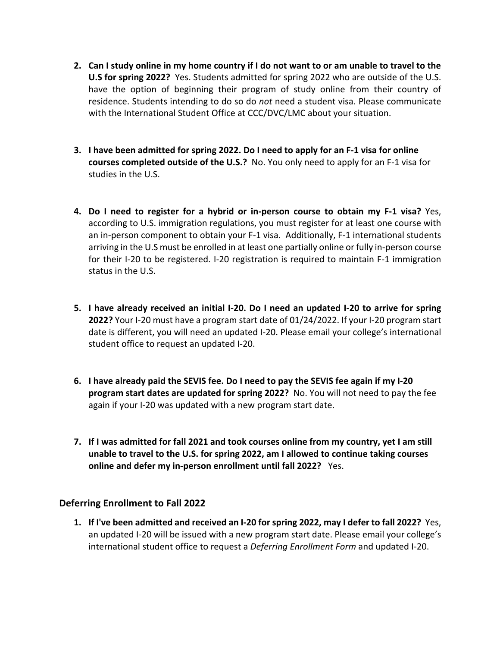- **2. Can I study online in my home country if I do not want to or am unable to travel to the U.S for spring 2022?** Yes. Students admitted for spring 2022 who are outside of the U.S. have the option of beginning their program of study online from their country of residence. Students intending to do so do *not* need a student visa. Please communicate with the International Student Office at CCC/DVC/LMC about your situation.
- **3. I have been admitted for spring 2022. Do I need to apply for an F-1 visa for online courses completed outside of the U.S.?** No. You only need to apply for an F-1 visa for studies in the U.S.
- **4. Do I need to register for a hybrid or in-person course to obtain my F-1 visa?** Yes, according to U.S. immigration regulations, you must register for at least one course with an in-person component to obtain your F-1 visa. Additionally, F-1 international students arriving in the U.S must be enrolled in at least one partially online or fully in-person course for their I-20 to be registered. I-20 registration is required to maintain F-1 immigration status in the U.S.
- **5. I have already received an initial I-20. Do I need an updated I-20 to arrive for spring 2022?** Your I-20 must have a program start date of 01/24/2022. If your I-20 program start date is different, you will need an updated I-20. Please email your college's international student office to request an updated I-20.
- **6. I have already paid the SEVIS fee. Do I need to pay the SEVIS fee again if my I-20 program start dates are updated for spring 2022?** No. You will not need to pay the fee again if your I-20 was updated with a new program start date.
- **7. If I was admitted for fall 2021 and took courses online from my country, yet I am still unable to travel to the U.S. for spring 2022, am I allowed to continue taking courses online and defer my in-person enrollment until fall 2022?** Yes.

### **Deferring Enrollment to Fall 2022**

**1. If I've been admitted and received an I-20 for spring 2022, may I defer to fall 2022?** Yes, an updated I-20 will be issued with a new program start date. Please email your college's international student office to request a *Deferring Enrollment Form* and updated I-20.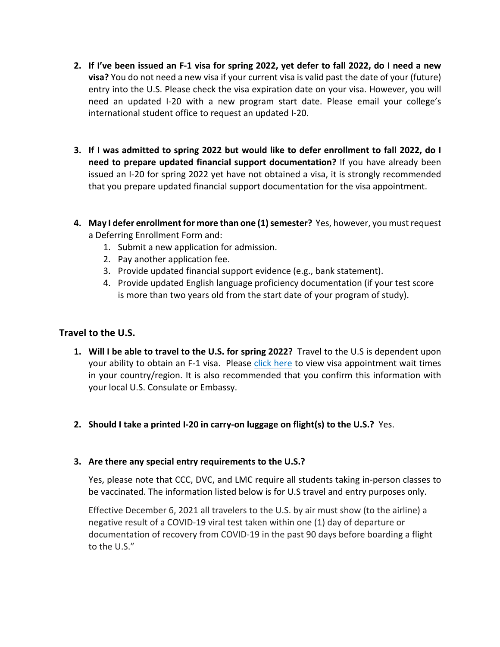- **2. If I've been issued an F-1 visa for spring 2022, yet defer to fall 2022, do I need a new visa?** You do not need a new visa if your current visa is valid past the date of your (future) entry into the U.S. Please check the visa expiration date on your visa. However, you will need an updated I-20 with a new program start date. Please email your college's international student office to request an updated I-20.
- **3. If I was admitted to spring 2022 but would like to defer enrollment to fall 2022, do I need to prepare updated financial support documentation?** If you have already been issued an I-20 for spring 2022 yet have not obtained a visa, it is strongly recommended that you prepare updated financial support documentation for the visa appointment.
- **4. May I defer enrollment for more than one (1) semester?** Yes, however, you mustrequest a Deferring Enrollment Form and:
	- 1. Submit a new application for admission.
	- 2. Pay another application fee.
	- 3. Provide updated financial support evidence (e.g., bank statement).
	- 4. Provide updated English language proficiency documentation (if your test score is more than two years old from the start date of your program of study).

# **Travel to the U.S.**

- **1. Will I be able to travel to the U.S. for spring 2022?** Travel to the U.S is dependent upon your ability to obtain an F-1 visa. Please click here to view visa appointment wait times in your country/region. It is also recommended that you confirm this information with your local U.S. Consulate or Embassy.
- **2. Should I take a printed I-20 in carry-on luggage on flight(s) to the U.S.?** Yes.

### **3. Are there any special entry requirements to the U.S.?**

Yes, please note that CCC, DVC, and LMC require all students taking in-person classes to be vaccinated. The information listed below is for U.S travel and entry purposes only.

Effective December 6, 2021 all travelers to the U.S. by air must show (to the airline) a negative result of a COVID-19 viral test taken within one (1) day of departure or documentation of recovery from COVID-19 in the past 90 days before boarding a flight to the U.S."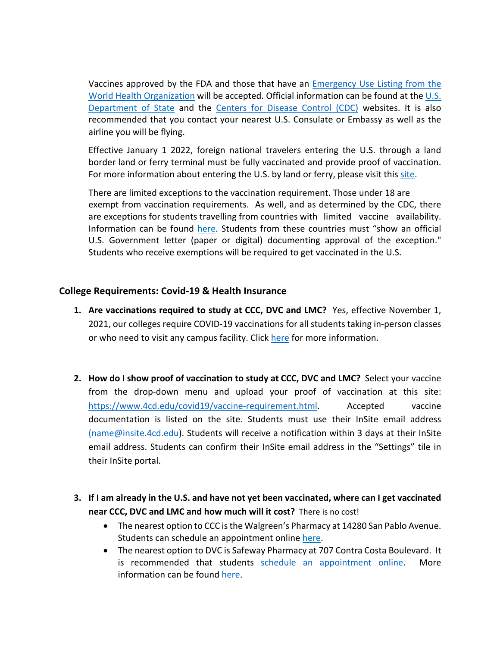Vaccines approved by the FDA and those that have an Emergency Use Listing from the World Health Organization will be accepted. Official information can be found at the U.S. Department of State and the Centers for Disease Control (CDC) websites. It is also recommended that you contact your nearest U.S. Consulate or Embassy as well as the airline you will be flying.

Effective January 1 2022, foreign national travelers entering the U.S. through a land border land or ferry terminal must be fully vaccinated and provide proof of vaccination. For more information about entering the U.S. by land or ferry, please visit this site.

There are limited exceptions to the vaccination requirement. Those under 18 are exempt from vaccination requirements. As well, and as determined by the CDC, there are exceptions for students travelling from countries with limited vaccine availability. Information can be found here. Students from these countries must "show an official U.S. Government letter (paper or digital) documenting approval of the exception." Students who receive exemptions will be required to get vaccinated in the U.S.

### **College Requirements: Covid-19 & Health Insurance**

- **1. Are vaccinations required to study at CCC, DVC and LMC?** Yes, effective November 1, 2021, our colleges require COVID-19 vaccinations for all students taking in-person classes or who need to visit any campus facility. Click here for more information.
- **2. How do I show proof of vaccination to study at CCC, DVC and LMC?** Select your vaccine from the drop-down menu and upload your proof of vaccination at this site: https://www.4cd.edu/covid19/vaccine-requirement.html. Accepted vaccine documentation is listed on the site. Students must use their InSite email address (name@insite.4cd.edu). Students will receive a notification within 3 days at their InSite email address. Students can confirm their InSite email address in the "Settings" tile in their InSite portal.
- **3. If I am already in the U.S. and have not yet been vaccinated, where can I get vaccinated near CCC, DVC and LMC and how much will it cost?** There is no cost!
	- The nearest option to CCC is the Walgreen's Pharmacy at 14280 San Pablo Avenue. Students can schedule an appointment online here.
	- The nearest option to DVC is Safeway Pharmacy at 707 Contra Costa Boulevard. It is recommended that students schedule an appointment online. More information can be found here.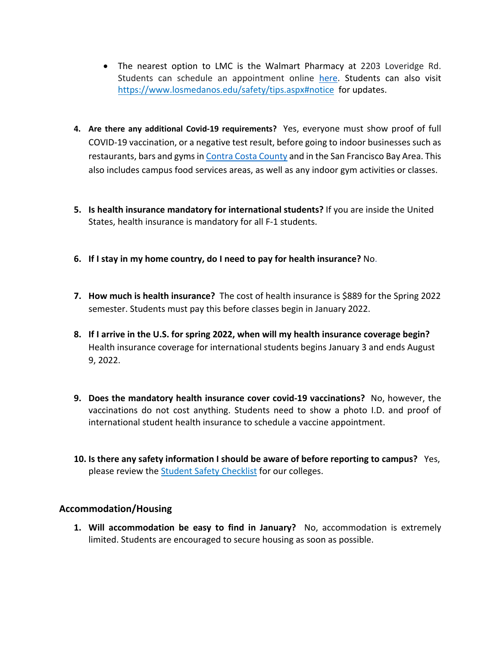- The nearest option to LMC is the Walmart Pharmacy at 2203 Loveridge Rd. Students can schedule an appointment online here. Students can also visit https://www.losmedanos.edu/safety/tips.aspx#notice for updates.
- **4. Are there any additional Covid-19 requirements?** Yes, everyone must show proof of full COVID-19 vaccination, or a negative test result, before going to indoor businesses such as restaurants, bars and gyms in Contra Costa County and in the San Francisco Bay Area. This also includes campus food services areas, as well as any indoor gym activities or classes.
- **5. Is health insurance mandatory for international students?** If you are inside the United States, health insurance is mandatory for all F-1 students.
- **6. If I stay in my home country, do I need to pay for health insurance?** No.
- **7. How much is health insurance?** The cost of health insurance is \$889 for the Spring 2022 semester. Students must pay this before classes begin in January 2022.
- **8. If I arrive in the U.S. for spring 2022, when will my health insurance coverage begin?** Health insurance coverage for international students begins January 3 and ends August 9, 2022.
- **9. Does the mandatory health insurance cover covid-19 vaccinations?** No, however, the vaccinations do not cost anything. Students need to show a photo I.D. and proof of international student health insurance to schedule a vaccine appointment.
- **10. Is there any safety information I should be aware of before reporting to campus?** Yes, please review the Student Safety Checklist for our colleges.

#### **Accommodation/Housing**

**1. Will accommodation be easy to find in January?** No, accommodation is extremely limited. Students are encouraged to secure housing as soon as possible.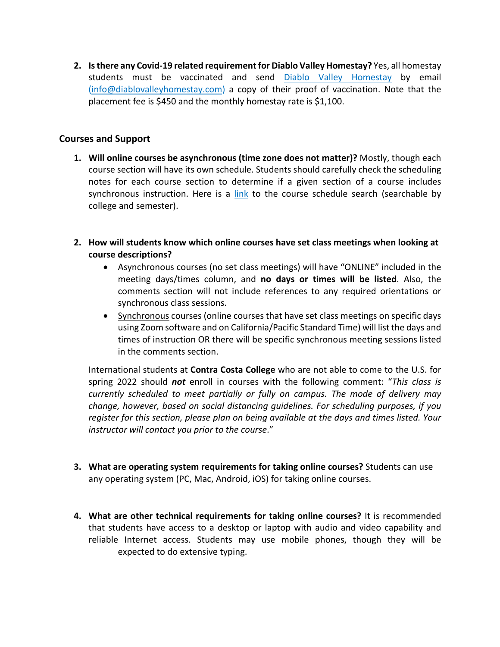**2. Is there any Covid-19 related requirement for Diablo Valley Homestay?** Yes, all homestay students must be vaccinated and send Diablo Valley Homestay by email (info@diablovalleyhomestay.com) a copy of their proof of vaccination. Note that the placement fee is \$450 and the monthly homestay rate is \$1,100.

#### **Courses and Support**

- **1. Will online courses be asynchronous (time zone does not matter)?** Mostly, though each course section will have its own schedule. Students should carefully check the scheduling notes for each course section to determine if a given section of a course includes synchronous instruction. Here is a link to the course schedule search (searchable by college and semester).
- **2. How will students know which online courses have set class meetings when looking at course descriptions?** 
	- Asynchronous courses (no set class meetings) will have "ONLINE" included in the meeting days/times column, and **no days or times will be listed**. Also, the comments section will not include references to any required orientations or synchronous class sessions.
	- Synchronous courses (online courses that have set class meetings on specific days using Zoom software and on California/Pacific Standard Time) will list the days and times of instruction OR there will be specific synchronous meeting sessions listed in the comments section.

International students at **Contra Costa College** who are not able to come to the U.S. for spring 2022 should *not* enroll in courses with the following comment: "*This class is currently scheduled to meet partially or fully on campus. The mode of delivery may change, however, based on social distancing guidelines. For scheduling purposes, if you register for this section, please plan on being available at the days and times listed. Your instructor will contact you prior to the course*."

- **3. What are operating system requirements for taking online courses?** Students can use any operating system (PC, Mac, Android, iOS) for taking online courses.
- **4. What are other technical requirements for taking online courses?** It is recommended that students have access to a desktop or laptop with audio and video capability and reliable Internet access. Students may use mobile phones, though they will be expected to do extensive typing.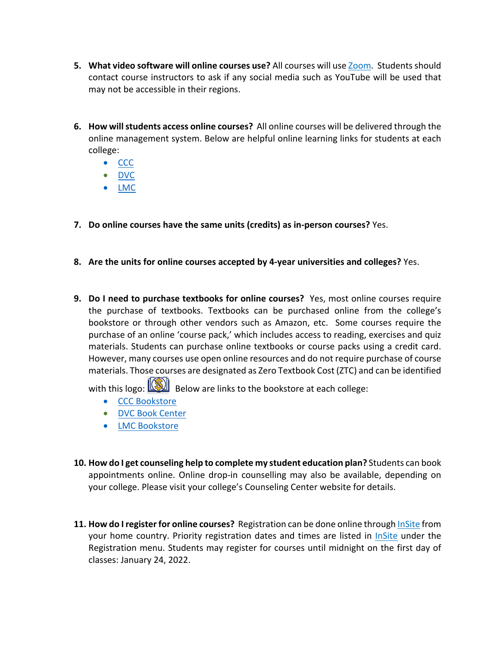- **5. What video software will online courses use?** All courses will use Zoom. Students should contact course instructors to ask if any social media such as YouTube will be used that may not be accessible in their regions.
- **6. How will students access online courses?** All online courses will be delivered through the online management system. Below are helpful online learning links for students at each college:
	- CCC
	- DVC
	- LMC
- **7. Do online courses have the same units (credits) as in-person courses?** Yes.
- **8. Are the units for online courses accepted by 4-year universities and colleges?** Yes.
- **9. Do I need to purchase textbooks for online courses?** Yes, most online courses require the purchase of textbooks. Textbooks can be purchased online from the college's bookstore or through other vendors such as Amazon, etc. Some courses require the purchase of an online 'course pack,' which includes access to reading, exercises and quiz materials. Students can purchase online textbooks or course packs using a credit card. However, many courses use open online resources and do not require purchase of course materials. Those courses are designated as Zero Textbook Cost (ZTC) and can be identified

with this logo:  $\boxed{\textcircled{\textbf{}}\}$  Below are links to the bookstore at each college:

- CCC Bookstore
- DVC Book Center
- LMC Bookstore
- **10. How do I get counseling help to complete my student education plan?** Students can book appointments online. Online drop-in counselling may also be available, depending on your college. Please visit your college's Counseling Center website for details.
- **11. How do I register for online courses?** Registration can be done online through InSite from your home country. Priority registration dates and times are listed in InSite under the Registration menu. Students may register for courses until midnight on the first day of classes: January 24, 2022.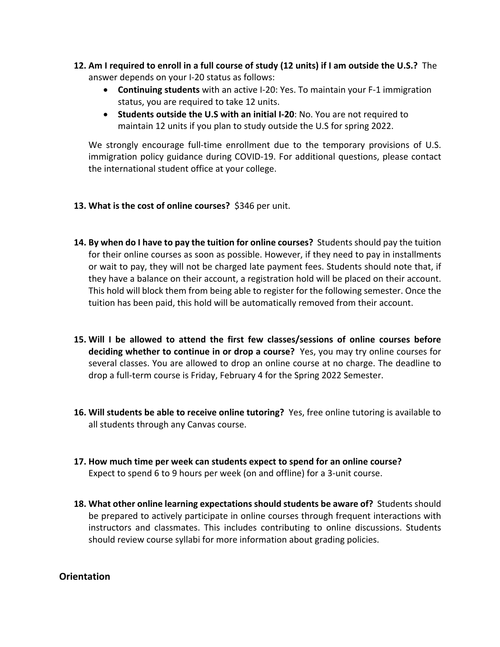- **12. Am I required to enroll in a full course of study (12 units) if I am outside the U.S.?** The answer depends on your I-20 status as follows:
	- **Continuing students** with an active I-20: Yes. To maintain your F-1 immigration status, you are required to take 12 units.
	- **Students outside the U.S with an initial I-20**: No. You are not required to maintain 12 units if you plan to study outside the U.S for spring 2022.

We strongly encourage full-time enrollment due to the temporary provisions of U.S. immigration policy guidance during COVID-19. For additional questions, please contact the international student office at your college.

- **13. What is the cost of online courses?** \$346 per unit.
- **14. By when do I have to pay the tuition for online courses?** Students should pay the tuition for their online courses as soon as possible. However, if they need to pay in installments or wait to pay, they will not be charged late payment fees. Students should note that, if they have a balance on their account, a registration hold will be placed on their account. This hold will block them from being able to register for the following semester. Once the tuition has been paid, this hold will be automatically removed from their account.
- **15. Will I be allowed to attend the first few classes/sessions of online courses before deciding whether to continue in or drop a course?** Yes, you may try online courses for several classes. You are allowed to drop an online course at no charge. The deadline to drop a full-term course is Friday, February 4 for the Spring 2022 Semester.
- **16. Will students be able to receive online tutoring?** Yes, free online tutoring is available to all students through any Canvas course.
- **17. How much time per week can students expect to spend for an online course?**  Expect to spend 6 to 9 hours per week (on and offline) for a 3-unit course.
- **18. What other online learning expectations should students be aware of?** Students should be prepared to actively participate in online courses through frequent interactions with instructors and classmates. This includes contributing to online discussions. Students should review course syllabi for more information about grading policies.

### **Orientation**